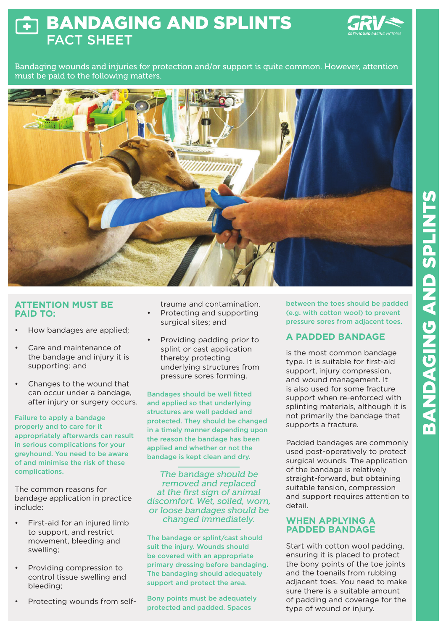## BANDAGING AND SPLINTS  $\overline{\textbf{r}}$ FACT SHEET



Bandaging wounds and injuries for protection and/or support is quite common. However, attention must be paid to the following matters.



#### **ATTENTION MUST BE PAID TO:**

- How bandages are applied;
- Care and maintenance of the bandage and injury it is supporting; and
- Changes to the wound that can occur under a bandage, after injury or surgery occurs.

Failure to apply a bandage properly and to care for it appropriately afterwards can result in serious complications for your greyhound. You need to be aware of and minimise the risk of these complications.

The common reasons for bandage application in practice include:

- First-aid for an injured limb to support, and restrict movement, bleeding and swelling;
- Providing compression to control tissue swelling and bleeding;
- Protecting wounds from self-

trauma and contamination. • Protecting and supporting surgical sites; and

• Providing padding prior to splint or cast application thereby protecting underlying structures from pressure sores forming.

Bandages should be well fitted and applied so that underlying structures are well padded and protected. They should be changed in a timely manner depending upon the reason the bandage has been applied and whether or not the bandage is kept clean and dry.

*The bandage should be removed and replaced at the first sign of animal discomfort. Wet, soiled, worn, or loose bandages should be changed immediately.*

The bandage or splint/cast should suit the injury. Wounds should be covered with an appropriate primary dressing before bandaging. The bandaging should adequately support and protect the area.

Bony points must be adequately protected and padded. Spaces

between the toes should be padded (e.g. with cotton wool) to prevent pressure sores from adjacent toes.

## **A PADDED BANDAGE**

is the most common bandage type. It is suitable for first-aid support, injury compression, and wound management. It is also used for some fracture support when re-enforced with splinting materials, although it is not primarily the bandage that supports a fracture.

Padded bandages are commonly used post-operatively to protect surgical wounds. The application of the bandage is relatively straight-forward, but obtaining suitable tension, compression and support requires attention to detail.

#### **WHEN APPLYING A PADDED BANDAGE**

Start with cotton wool padding, ensuring it is placed to protect the bony points of the toe joints and the toenails from rubbing adjacent toes. You need to make sure there is a suitable amount of padding and coverage for the type of wound or injury.